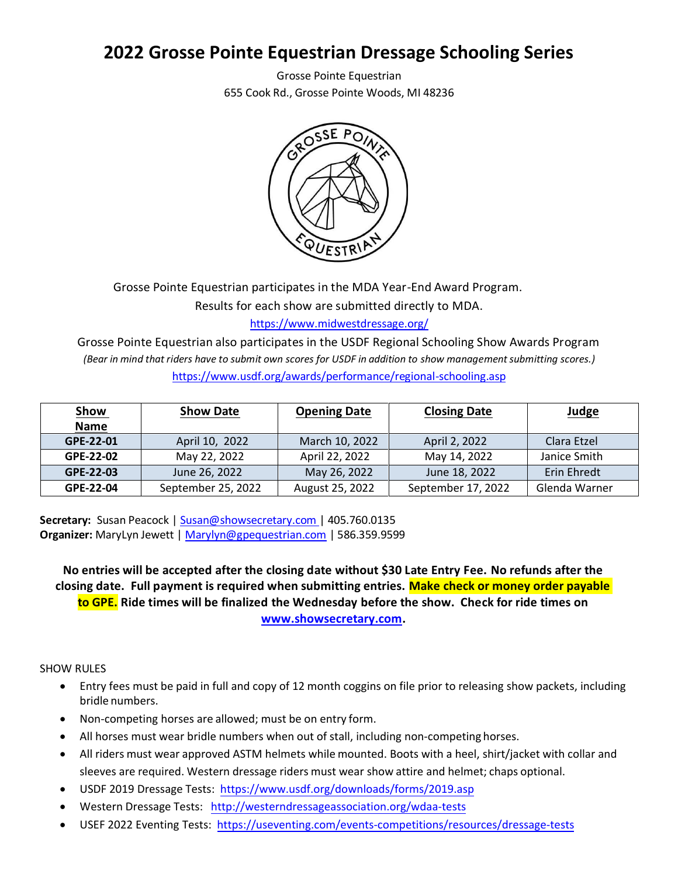## **2022 Grosse Pointe Equestrian Dressage Schooling Series**

Grosse Pointe Equestrian 655 Cook Rd., Grosse Pointe Woods, MI 48236



Grosse Pointe Equestrian participates in the MDA Year-End Award Program.

Results for each show are submitted directly to MDA.

<https://www.midwestdressage.org/>

Grosse Pointe Equestrian also participates in the USDF Regional Schooling Show Awards Program *(Bear in mind that riders have to submit own scores for USDF in addition to show management submitting scores.)* <https://www.usdf.org/awards/performance/regional-schooling.asp>

| <u>Show</u> | <b>Show Date</b>   | <b>Closing Date</b><br><b>Opening Date</b> |                    | Judge         |
|-------------|--------------------|--------------------------------------------|--------------------|---------------|
| <b>Name</b> |                    |                                            |                    |               |
| GPE-22-01   | April 10, 2022     | March 10, 2022                             | April 2, 2022      | Clara Etzel   |
| GPE-22-02   | May 22, 2022       | April 22, 2022                             | May 14, 2022       | Janice Smith  |
| GPE-22-03   | June 26, 2022      | May 26, 2022                               | June 18, 2022      | Erin Ehredt   |
| GPE-22-04   | September 25, 2022 | August 25, 2022                            | September 17, 2022 | Glenda Warner |

**Secretary:** Susan Peacock [| Susan@showsecretary.com |](mailto:Susan@showsecretary.com) 405.760.0135 **Organizer:** MaryLyn Jewett | [Marylyn@gpequestrian.com](mailto:Marylyn@gpequestrian.com) | 586.359.9599

**No entries will be accepted after the closing date without \$30 Late Entry Fee. No refunds after the closing date. Full payment is required when submitting entries. Make check or money order payable to GPE. Ride times will be finalized the Wednesday before the show. Check for ride times on [www.showsecretary.com.](http://www.showsecretary.com/)**

SHOW RULES

- Entry fees must be paid in full and copy of 12 month coggins on file prior to releasing show packets, including bridle numbers.
- Non-competing horses are allowed; must be on entry form.
- All horses must wear bridle numbers when out of stall, including non-competing horses.
- All riders must wear approved ASTM helmets while mounted. Boots with a heel, shirt/jacket with collar and sleeves are required. Western dressage riders must wear show attire and helmet; chaps optional.
- USDF 2019 Dressage Tests: <https://www.usdf.org/downloads/forms/2019.asp>
- Western Dressage Tests: http://weste[rndressageassociation.org/wdaa-tests](http://westerndressageassociation.org/wdaa-tests)
- USEF 2022 Eventing Tests: https://usev[enting.com/events-competitions/resources/dressage-tests](https://useventing.com/events-competitions/resources/dressage-tests)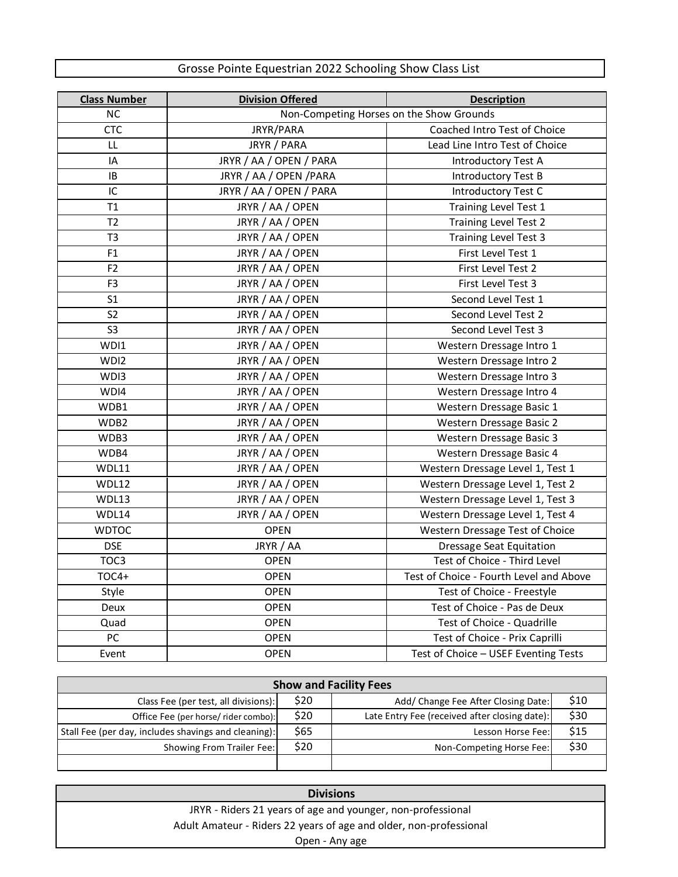## Grosse Pointe Equestrian 2022 Schooling Show Class List

| <b>Class Number</b> | <b>Division Offered</b> | <b>Description</b>                       |  |
|---------------------|-------------------------|------------------------------------------|--|
| <b>NC</b>           |                         | Non-Competing Horses on the Show Grounds |  |
| <b>CTC</b>          | JRYR/PARA               | Coached Intro Test of Choice             |  |
| LL                  | JRYR / PARA             | Lead Line Intro Test of Choice           |  |
| IA                  | JRYR / AA / OPEN / PARA | <b>Introductory Test A</b>               |  |
| IB                  | JRYR / AA / OPEN / PARA | Introductory Test B                      |  |
| IC                  | JRYR / AA / OPEN / PARA | Introductory Test C                      |  |
| T1                  | JRYR / AA / OPEN        | Training Level Test 1                    |  |
| T2                  | JRYR / AA / OPEN        | <b>Training Level Test 2</b>             |  |
| T <sub>3</sub>      | JRYR / AA / OPEN        | Training Level Test 3                    |  |
| F1                  | JRYR / AA / OPEN        | First Level Test 1                       |  |
| F <sub>2</sub>      | JRYR / AA / OPEN        | First Level Test 2                       |  |
| F <sub>3</sub>      | JRYR / AA / OPEN        | First Level Test 3                       |  |
| S <sub>1</sub>      | JRYR / AA / OPEN        | Second Level Test 1                      |  |
| S <sub>2</sub>      | JRYR / AA / OPEN        | Second Level Test 2                      |  |
| S <sub>3</sub>      | JRYR / AA / OPEN        | Second Level Test 3                      |  |
| WDI1                | JRYR / AA / OPEN        | Western Dressage Intro 1                 |  |
| WDI2                | JRYR / AA / OPEN        | Western Dressage Intro 2                 |  |
| WDI3                | JRYR / AA / OPEN        | Western Dressage Intro 3                 |  |
| WDI4                | JRYR / AA / OPEN        | Western Dressage Intro 4                 |  |
| WDB1                | JRYR / AA / OPEN        | Western Dressage Basic 1                 |  |
| WDB2                | JRYR / AA / OPEN        | Western Dressage Basic 2                 |  |
| WDB3                | JRYR / AA / OPEN        | Western Dressage Basic 3                 |  |
| WDB4                | JRYR / AA / OPEN        | Western Dressage Basic 4                 |  |
| WDL11               | JRYR / AA / OPEN        | Western Dressage Level 1, Test 1         |  |
| WDL12               | JRYR / AA / OPEN        | Western Dressage Level 1, Test 2         |  |
| WDL13               | JRYR / AA / OPEN        | Western Dressage Level 1, Test 3         |  |
| WDL14               | JRYR / AA / OPEN        | Western Dressage Level 1, Test 4         |  |
| <b>WDTOC</b>        | <b>OPEN</b>             | Western Dressage Test of Choice          |  |
| <b>DSE</b>          | JRYR / AA               | <b>Dressage Seat Equitation</b>          |  |
| TOC3                | <b>OPEN</b>             | Test of Choice - Third Level             |  |
| $TOC4+$             | <b>OPEN</b>             | Test of Choice - Fourth Level and Above  |  |
| Style               | <b>OPEN</b>             | Test of Choice - Freestyle               |  |
| <b>Deux</b>         | <b>OPEN</b>             | Test of Choice - Pas de Deux             |  |
| Quad                | <b>OPEN</b>             | Test of Choice - Quadrille               |  |
| PC                  | <b>OPEN</b>             | Test of Choice - Prix Caprilli           |  |
| Event               | <b>OPEN</b>             | Test of Choice - USEF Eventing Tests     |  |

| <b>Show and Facility Fees</b>                        |      |                                               |      |  |
|------------------------------------------------------|------|-----------------------------------------------|------|--|
| Class Fee (per test, all divisions):                 | \$20 | Add/ Change Fee After Closing Date:           | \$10 |  |
| Office Fee (per horse/ rider combo):                 | \$20 | Late Entry Fee (received after closing date): | \$30 |  |
| Stall Fee (per day, includes shavings and cleaning): | \$65 | Lesson Horse Fee:                             | \$15 |  |
| Showing From Trailer Fee:                            | \$20 | Non-Competing Horse Fee:                      | \$30 |  |
|                                                      |      |                                               |      |  |

| <b>Divisions</b>                                                   |  |
|--------------------------------------------------------------------|--|
| JRYR - Riders 21 years of age and younger, non-professional        |  |
| Adult Amateur - Riders 22 years of age and older, non-professional |  |
| Open - Any age                                                     |  |

 $\Box$